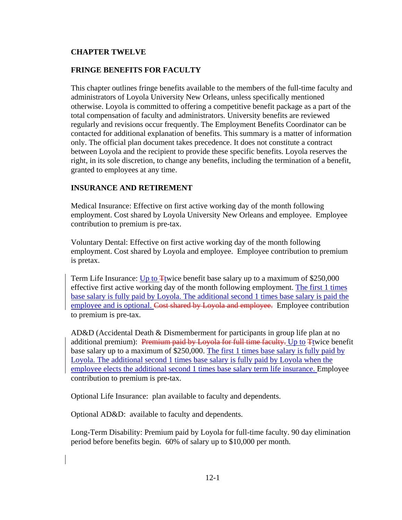## **CHAPTER TWELVE**

## **FRINGE BENEFITS FOR FACULTY**

This chapter outlines fringe benefits available to the members of the full-time faculty and administrators of Loyola University New Orleans, unless specifically mentioned otherwise. Loyola is committed to offering a competitive benefit package as a part of the total compensation of faculty and administrators. University benefits are reviewed regularly and revisions occur frequently. The Employment Benefits Coordinator can be contacted for additional explanation of benefits. This summary is a matter of information only. The official plan document takes precedence. It does not constitute a contract between Loyola and the recipient to provide these specific benefits. Loyola reserves the right, in its sole discretion, to change any benefits, including the termination of a benefit, granted to employees at any time.

## **INSURANCE AND RETIREMENT**

Medical Insurance: Effective on first active working day of the month following employment. Cost shared by Loyola University New Orleans and employee. Employee contribution to premium is pre-tax.

Voluntary Dental: Effective on first active working day of the month following employment. Cost shared by Loyola and employee. Employee contribution to premium is pretax.

Term Life Insurance: Up to  $\overline{\text{H}}$  twice benefit base salary up to a maximum of \$250,000 effective first active working day of the month following employment. The first 1 times base salary is fully paid by Loyola. The additional second 1 times base salary is paid the employee and is optional. Cost shared by Loyola and employee. Employee contribution to premium is pre-tax.

AD&D (Accidental Death & Dismemberment for participants in group life plan at no additional premium): Premium paid by Loyola for full time faculty. Up to Ttwice benefit base salary up to a maximum of \$250,000. The first 1 times base salary is fully paid by Loyola. The additional second 1 times base salary is fully paid by Loyola when the employee elects the additional second 1 times base salary term life insurance. Employee contribution to premium is pre-tax.

Optional Life Insurance: plan available to faculty and dependents.

Optional AD&D:available to faculty and dependents.

Long-Term Disability: Premium paid by Loyola for full-time faculty. 90 day elimination period before benefits begin. 60% of salary up to \$10,000 per month.